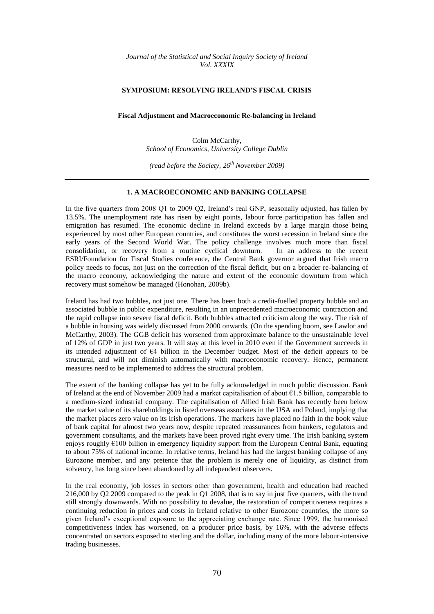*Journal of the Statistical and Social Inquiry Society of Ireland Vol. XXXIX*

#### **SYMPOSIUM: RESOLVING IRELAND'S FISCAL CRISIS**

## **Fiscal Adjustment and Macroeconomic Re-balancing in Ireland**

Colm McCarthy, *School of Economics, University College Dublin*

*(read before the Society, 26th November 2009)*

### **1. A MACROECONOMIC AND BANKING COLLAPSE**

In the five quarters from 2008 Q1 to 2009 Q2, Ireland"s real GNP, seasonally adjusted, has fallen by 13.5%. The unemployment rate has risen by eight points, labour force participation has fallen and emigration has resumed. The economic decline in Ireland exceeds by a large margin those being experienced by most other European countries, and constitutes the worst recession in Ireland since the early years of the Second World War. The policy challenge involves much more than fiscal consolidation, or recovery from a routine cyclical downturn. In an address to the recent ESRI/Foundation for Fiscal Studies conference, the Central Bank governor argued that Irish macro policy needs to focus, not just on the correction of the fiscal deficit, but on a broader re-balancing of the macro economy, acknowledging the nature and extent of the economic downturn from which recovery must somehow be managed (Honohan, 2009b).

Ireland has had two bubbles, not just one. There has been both a credit-fuelled property bubble and an associated bubble in public expenditure, resulting in an unprecedented macroeconomic contraction and the rapid collapse into severe fiscal deficit. Both bubbles attracted criticism along the way. The risk of a bubble in housing was widely discussed from 2000 onwards. (On the spending boom, see Lawlor and McCarthy, 2003). The GGB deficit has worsened from approximate balance to the unsustainable level of 12% of GDP in just two years. It will stay at this level in 2010 even if the Government succeeds in its intended adjustment of €4 billion in the December budget. Most of the deficit appears to be structural, and will not diminish automatically with macroeconomic recovery. Hence, permanent measures need to be implemented to address the structural problem.

The extent of the banking collapse has yet to be fully acknowledged in much public discussion. Bank of Ireland at the end of November 2009 had a market capitalisation of about €1.5 billion, comparable to a medium-sized industrial company. The capitalisation of Allied Irish Bank has recently been below the market value of its shareholdings in listed overseas associates in the USA and Poland, implying that the market places zero value on its Irish operations. The markets have placed no faith in the book value of bank capital for almost two years now, despite repeated reassurances from bankers, regulators and government consultants, and the markets have been proved right every time. The Irish banking system enjoys roughly  $\epsilon$ 100 billion in emergency liquidity support from the European Central Bank, equating to about 75% of national income. In relative terms, Ireland has had the largest banking collapse of any Eurozone member, and any pretence that the problem is merely one of liquidity, as distinct from solvency, has long since been abandoned by all independent observers.

In the real economy, job losses in sectors other than government, health and education had reached 216,000 by Q2 2009 compared to the peak in Q1 2008, that is to say in just five quarters, with the trend still strongly downwards. With no possibility to devalue, the restoration of competitiveness requires a continuing reduction in prices and costs in Ireland relative to other Eurozone countries, the more so given Ireland"s exceptional exposure to the appreciating exchange rate. Since 1999, the harmonised competitiveness index has worsened, on a producer price basis, by 16%, with the adverse effects concentrated on sectors exposed to sterling and the dollar, including many of the more labour-intensive trading businesses.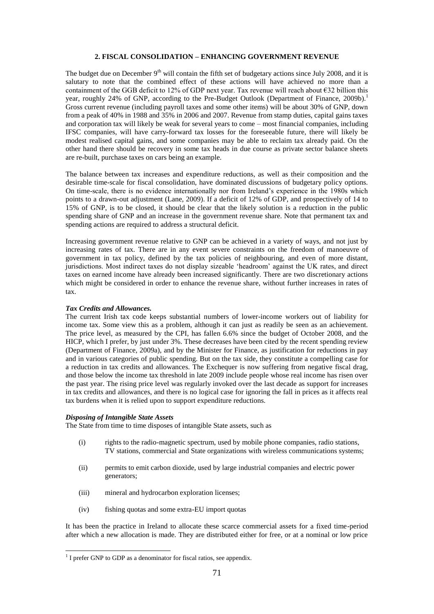## **2. FISCAL CONSOLIDATION – ENHANCING GOVERNMENT REVENUE**

The budget due on December  $9<sup>th</sup>$  will contain the fifth set of budgetary actions since July 2008, and it is salutary to note that the combined effect of these actions will have achieved no more than a containment of the GGB deficit to 12% of GDP next year. Tax revenue will reach about €32 billion this year, roughly 24% of GNP, according to the Pre-Budget Outlook (Department of Finance, 2009b).<sup>1</sup> Gross current revenue (including payroll taxes and some other items) will be about 30% of GNP, down from a peak of 40% in 1988 and 35% in 2006 and 2007. Revenue from stamp duties, capital gains taxes and corporation tax will likely be weak for several years to come – most financial companies, including IFSC companies, will have carry-forward tax losses for the foreseeable future, there will likely be modest realised capital gains, and some companies may be able to reclaim tax already paid. On the other hand there should be recovery in some tax heads in due course as private sector balance sheets are re-built, purchase taxes on cars being an example.

The balance between tax increases and expenditure reductions, as well as their composition and the desirable time-scale for fiscal consolidation, have dominated discussions of budgetary policy options. On time-scale, there is no evidence internationally nor from Ireland"s experience in the 1980s which points to a drawn-out adjustment (Lane, 2009). If a deficit of 12% of GDP, and prospectively of 14 to 15% of GNP, is to be closed, it should be clear that the likely solution is a reduction in the public spending share of GNP and an increase in the government revenue share. Note that permanent tax and spending actions are required to address a structural deficit.

Increasing government revenue relative to GNP can be achieved in a variety of ways, and not just by increasing rates of tax. There are in any event severe constraints on the freedom of manoeuvre of government in tax policy, defined by the tax policies of neighbouring, and even of more distant, jurisdictions. Most indirect taxes do not display sizeable "headroom" against the UK rates, and direct taxes on earned income have already been increased significantly. There are two discretionary actions which might be considered in order to enhance the revenue share, without further increases in rates of tax.

#### *Tax Credits and Allowances.*

The current Irish tax code keeps substantial numbers of lower-income workers out of liability for income tax. Some view this as a problem, although it can just as readily be seen as an achievement. The price level, as measured by the CPI, has fallen 6.6% since the budget of October 2008, and the HICP, which I prefer, by just under 3%. These decreases have been cited by the recent spending review (Department of Finance, 2009a), and by the Minister for Finance, as justification for reductions in pay and in various categories of public spending. But on the tax side, they constitute a compelling case for a reduction in tax credits and allowances. The Exchequer is now suffering from negative fiscal drag, and those below the income tax threshold in late 2009 include people whose real income has risen over the past year. The rising price level was regularly invoked over the last decade as support for increases in tax credits and allowances, and there is no logical case for ignoring the fall in prices as it affects real tax burdens when it is relied upon to support expenditure reductions.

#### *Disposing of Intangible State Assets*

The State from time to time disposes of intangible State assets, such as

- (i) rights to the radio-magnetic spectrum, used by mobile phone companies, radio stations, TV stations, commercial and State organizations with wireless communications systems;
- (ii) permits to emit carbon dioxide, used by large industrial companies and electric power generators;
- (iii) mineral and hydrocarbon exploration licenses;
- (iv) fishing quotas and some extra-EU import quotas

It has been the practice in Ireland to allocate these scarce commercial assets for a fixed time-period after which a new allocation is made. They are distributed either for free, or at a nominal or low price

 1 I prefer GNP to GDP as a denominator for fiscal ratios, see appendix.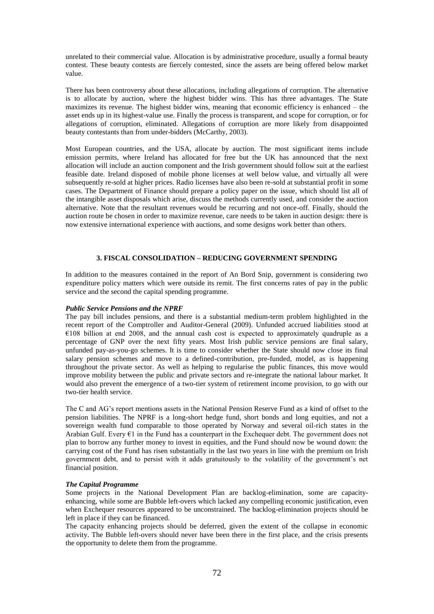unrelated to their commercial value. Allocation is by administrative procedure, usually a formal beauty contest. These beauty contests are fiercely contested, since the assets are being offered below market value.

There has been controversy about these allocations, including allegations of corruption. The alternative is to allocate by auction, where the highest bidder wins. This has three advantages. The State maximizes its revenue. The highest bidder wins, meaning that economic efficiency is enhanced – the asset ends up in its highest-value use. Finally the process is transparent, and scope for corruption, or for allegations of corruption, eliminated. Allegations of corruption are more likely from disappointed beauty contestants than from under-bidders (McCarthy, 2003).

Most European countries, and the USA, allocate by auction. The most significant items include emission permits, where Ireland has allocated for free but the UK has announced that the next allocation will include an auction component and the Irish government should follow suit at the earliest feasible date. Ireland disposed of mobile phone licenses at well below value, and virtually all were subsequently re-sold at higher prices. Radio licenses have also been re-sold at substantial profit in some cases. The Department of Finance should prepare a policy paper on the issue, which should list all of the intangible asset disposals which arise, discuss the methods currently used, and consider the auction alternative. Note that the resultant revenues would be recurring and not once-off. Finally, should the auction route be chosen in order to maximize revenue, care needs to be taken in auction design: there is now extensive international experience with auctions, and some designs work better than others.

# **3. FISCAL CONSOLIDATION – REDUCING GOVERNMENT SPENDING**

In addition to the measures contained in the report of An Bord Snip, government is considering two expenditure policy matters which were outside its remit. The first concerns rates of pay in the public service and the second the capital spending programme.

### *Public Service Pensions and the NPRF*

The pay bill includes pensions, and there is a substantial medium-term problem highlighted in the recent report of the Comptroller and Auditor-General (2009). Unfunded accrued liabilities stood at  $\epsilon$ 108 billion at end 2008, and the annual cash cost is expected to approximately quadruple as a percentage of GNP over the next fifty years. Most Irish public service pensions are final salary, unfunded pay-as-you-go schemes. It is time to consider whether the State should now close its final salary pension schemes and move to a defined-contribution, pre-funded, model, as is happening throughout the private sector. As well as helping to regularise the public finances, this move would improve mobility between the public and private sectors and re-integrate the national labour market. It would also prevent the emergence of a two-tier system of retirement income provision, to go with our two-tier health service.

The C and AG"s report mentions assets in the National Pension Reserve Fund as a kind of offset to the pension liabilities. The NPRF is a long-short hedge fund, short bonds and long equities, and not a sovereign wealth fund comparable to those operated by Norway and several oil-rich states in the Arabian Gulf. Every  $\epsilon$ 1 in the Fund has a counterpart in the Exchequer debt. The government does not plan to borrow any further money to invest in equities, and the Fund should now be wound down: the carrying cost of the Fund has risen substantially in the last two years in line with the premium on Irish government debt, and to persist with it adds gratuitously to the volatility of the government"s net financial position.

### *The Capital Programme*

Some projects in the National Development Plan are backlog-elimination, some are capacityenhancing, while some are Bubble left-overs which lacked any compelling economic justification, even when Exchequer resources appeared to be unconstrained. The backlog-elimination projects should be left in place if they can be financed.

The capacity enhancing projects should be deferred, given the extent of the collapse in economic activity. The Bubble left-overs should never have been there in the first place, and the crisis presents the opportunity to delete them from the programme.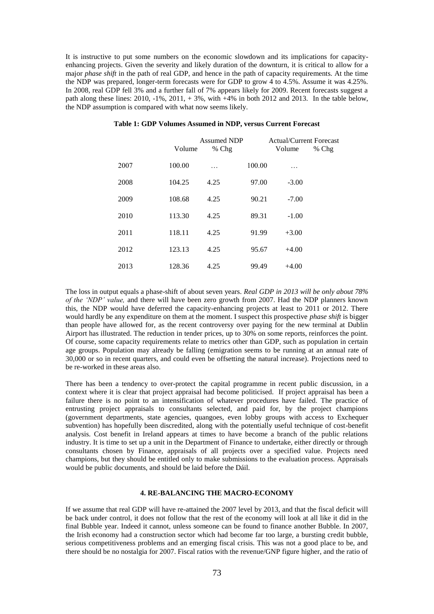It is instructive to put some numbers on the economic slowdown and its implications for capacityenhancing projects. Given the severity and likely duration of the downturn, it is critical to allow for a major *phase shift* in the path of real GDP, and hence in the path of capacity requirements. At the time the NDP was prepared, longer-term forecasts were for GDP to grow 4 to 4.5%. Assume it was 4.25%. In 2008, real GDP fell 3% and a further fall of 7% appears likely for 2009. Recent forecasts suggest a path along these lines:  $2010, -1\%$ ,  $2011, +3\%$ , with  $+4\%$  in both 2012 and 2013. In the table below, the NDP assumption is compared with what now seems likely.

|      | Volume | <b>Assumed NDP</b><br>% Chg |        | <b>Actual/Current Forecast</b><br>Volume | $%$ Chg |
|------|--------|-----------------------------|--------|------------------------------------------|---------|
| 2007 | 100.00 |                             | 100.00 | .                                        |         |
| 2008 | 104.25 | 4.25                        | 97.00  | $-3.00$                                  |         |
| 2009 | 108.68 | 4.25                        | 90.21  | $-7.00$                                  |         |
| 2010 | 113.30 | 4.25                        | 89.31  | $-1.00$                                  |         |
| 2011 | 118.11 | 4.25                        | 91.99  | $+3.00$                                  |         |
| 2012 | 123.13 | 4.25                        | 95.67  | $+4.00$                                  |         |
| 2013 | 128.36 | 4.25                        | 99.49  | $+4.00$                                  |         |

## **Table 1: GDP Volumes Assumed in NDP, versus Current Forecast**

The loss in output equals a phase-shift of about seven years. *Real GDP in 2013 will be only about 78% of the 'NDP' value,* and there will have been zero growth from 2007. Had the NDP planners known this, the NDP would have deferred the capacity-enhancing projects at least to 2011 or 2012. There would hardly be any expenditure on them at the moment. I suspect this prospective *phase shift* is bigger than people have allowed for, as the recent controversy over paying for the new terminal at Dublin Airport has illustrated. The reduction in tender prices, up to 30% on some reports, reinforces the point. Of course, some capacity requirements relate to metrics other than GDP, such as population in certain age groups. Population may already be falling (emigration seems to be running at an annual rate of 30,000 or so in recent quarters, and could even be offsetting the natural increase). Projections need to be re-worked in these areas also.

There has been a tendency to over-protect the capital programme in recent public discussion, in a context where it is clear that project appraisal had become politicised. If project appraisal has been a failure there is no point to an intensification of whatever procedures have failed. The practice of entrusting project appraisals to consultants selected, and paid for, by the project champions (government departments, state agencies, quangoes, even lobby groups with access to Exchequer subvention) has hopefully been discredited, along with the potentially useful technique of cost-benefit analysis. Cost benefit in Ireland appears at times to have become a branch of the public relations industry. It is time to set up a unit in the Department of Finance to undertake, either directly or through consultants chosen by Finance, appraisals of all projects over a specified value. Projects need champions, but they should be entitled only to make submissions to the evaluation process. Appraisals would be public documents, and should be laid before the Dáil.

## **4. RE-BALANCING THE MACRO-ECONOMY**

If we assume that real GDP will have re-attained the 2007 level by 2013, and that the fiscal deficit will be back under control, it does not follow that the rest of the economy will look at all like it did in the final Bubble year. Indeed it cannot, unless someone can be found to finance another Bubble. In 2007, the Irish economy had a construction sector which had become far too large, a bursting credit bubble, serious competitiveness problems and an emerging fiscal crisis. This was not a good place to be, and there should be no nostalgia for 2007. Fiscal ratios with the revenue/GNP figure higher, and the ratio of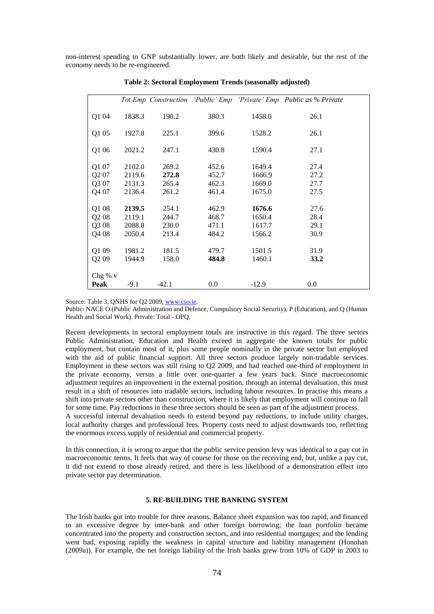non-interest spending to GNP substantially lower, are both likely and desirable, but the rest of the economy needs to be re-engineered.

|                   |        |         |         |         | Tot Emp Construction 'Public' Emp 'Private' Emp Public as % Private |
|-------------------|--------|---------|---------|---------|---------------------------------------------------------------------|
| Q1 04             | 1838.3 | 190.2   | 380.3   | 1458.0  | 26.1                                                                |
| Q1 05             | 1927.8 | 225.1   | 399.6   | 1528.2  | 26.1                                                                |
| Q1 06             | 2021.2 | 247.1   | 430.8   | 1590.4  | 27.1                                                                |
| Q1 07             | 2102.0 | 269.2   | 452.6   | 1649.4  | 27.4                                                                |
| Q2 07             | 2119.6 | 272.8   | 452.7   | 1666.9  | 27.2                                                                |
| Q3 07             | 2131.3 | 265.4   | 462.3   | 1669.0  | 27.7                                                                |
| Q4 07             | 2136.4 | 261.2   | 461.4   | 1675.0  | 27.5                                                                |
| Q1 08             | 2139.5 | 254.1   | 462.9   | 1676.6  | 27.6                                                                |
| Q2 08             | 2119.1 | 244.7   | 468.7   | 1650.4  | 28.4                                                                |
| Q3 08             | 2088.8 | 230.0   | 471.1   | 1617.7  | 29.1                                                                |
| Q4 08             | 2050.4 | 213.4   | 484.2   | 1566.2  | 30.9                                                                |
| Q1 09             | 1981.2 | 181.5   | 479.7   | 1501.5  | 31.9                                                                |
| Q <sub>2</sub> 09 | 1944.9 | 158.0   | 484.8   | 1460.1  | 33.2                                                                |
| Chg $% v$         |        |         |         |         |                                                                     |
| Peak              | $-9.1$ | $-42.1$ | $0.0\,$ | $-12.9$ | 0.0                                                                 |

**Table 2: Sectoral Employment Trends (seasonally adjusted)**

Source: Table 3, QNHS for Q2 2009[, www.cso.ie.](http://www.cso.ie/)

Public: NACE O (Public Administration and Defence, Compulsory Social Security), P (Education), and Q (Human Health and Social Work). Private: Total - OPQ.

Recent developments in sectoral employment totals are instructive in this regard. The three sectors Public Administration, Education and Health exceed in aggregate the known totals for public employment, but contain most of it, plus some people nominally in the private sector but employed with the aid of public financial support. All three sectors produce largely non-tradable services. Employment in these sectors was still rising to Q2 2009, and had reached one-third of employment in the private economy, versus a little over one-quarter a few years back. Since macroeconomic adjustment requires an improvement in the external position, through an internal devaluation, this must result in a shift of resources into tradable sectors, including labour resources. In practise this means a shift into private sectors other than construction, where it is likely that employment will continue to fall for some time. Pay reductions in these three sectors should be seen as part of the adjustment process.

A successful internal devaluation needs to extend beyond pay reductions, to include utility charges, local authority charges and professional fees. Property costs need to adjust downwards too, reflecting the enormous excess supply of residential and commercial property.

In this connection, it is wrong to argue that the public service pension levy was identical to a pay cut in macroeconomic terms. It feels that way of course for those on the receiving end, but, unlike a pay cut, it did not extend to those already retired, and there is less likelihood of a demonstration effect into private sector pay determination.

# **5. RE-BUILDING THE BANKING SYSTEM**

The Irish banks got into trouble for three reasons. Balance sheet expansion was too rapid, and financed to an excessive degree by inter-bank and other foreign borrowing; the loan portfolio became concentrated into the property and construction sectors, and into residential mortgages; and the lending went bad, exposing rapidly the weakness in capital structure and liability management (Honohan (2009a)). For example, the net foreign liability of the Irish banks grew from 10% of GDP in 2003 to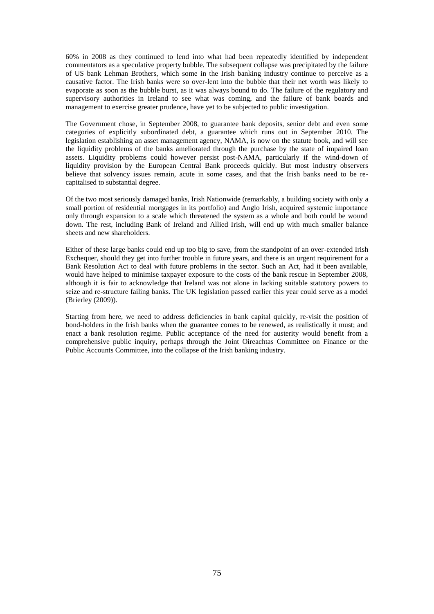60% in 2008 as they continued to lend into what had been repeatedly identified by independent commentators as a speculative property bubble. The subsequent collapse was precipitated by the failure of US bank Lehman Brothers, which some in the Irish banking industry continue to perceive as a causative factor. The Irish banks were so over-lent into the bubble that their net worth was likely to evaporate as soon as the bubble burst, as it was always bound to do. The failure of the regulatory and supervisory authorities in Ireland to see what was coming, and the failure of bank boards and management to exercise greater prudence, have yet to be subjected to public investigation.

The Government chose, in September 2008, to guarantee bank deposits, senior debt and even some categories of explicitly subordinated debt, a guarantee which runs out in September 2010. The legislation establishing an asset management agency, NAMA, is now on the statute book, and will see the liquidity problems of the banks ameliorated through the purchase by the state of impaired loan assets. Liquidity problems could however persist post-NAMA, particularly if the wind-down of liquidity provision by the European Central Bank proceeds quickly. But most industry observers believe that solvency issues remain, acute in some cases, and that the Irish banks need to be recapitalised to substantial degree.

Of the two most seriously damaged banks, Irish Nationwide (remarkably, a building society with only a small portion of residential mortgages in its portfolio) and Anglo Irish, acquired systemic importance only through expansion to a scale which threatened the system as a whole and both could be wound down. The rest, including Bank of Ireland and Allied Irish, will end up with much smaller balance sheets and new shareholders.

Either of these large banks could end up too big to save, from the standpoint of an over-extended Irish Exchequer, should they get into further trouble in future years, and there is an urgent requirement for a Bank Resolution Act to deal with future problems in the sector. Such an Act, had it been available, would have helped to minimise taxpayer exposure to the costs of the bank rescue in September 2008, although it is fair to acknowledge that Ireland was not alone in lacking suitable statutory powers to seize and re-structure failing banks. The UK legislation passed earlier this year could serve as a model (Brierley (2009)).

Starting from here, we need to address deficiencies in bank capital quickly, re-visit the position of bond-holders in the Irish banks when the guarantee comes to be renewed, as realistically it must; and enact a bank resolution regime. Public acceptance of the need for austerity would benefit from a comprehensive public inquiry, perhaps through the Joint Oireachtas Committee on Finance or the Public Accounts Committee, into the collapse of the Irish banking industry.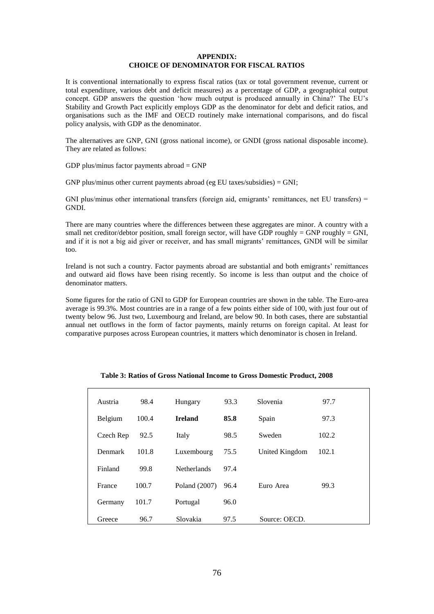# **APPENDIX: CHOICE OF DENOMINATOR FOR FISCAL RATIOS**

It is conventional internationally to express fiscal ratios (tax or total government revenue, current or total expenditure, various debt and deficit measures) as a percentage of GDP, a geographical output concept. GDP answers the question "how much output is produced annually in China?" The EU"s Stability and Growth Pact explicitly employs GDP as the denominator for debt and deficit ratios, and organisations such as the IMF and OECD routinely make international comparisons, and do fiscal policy analysis, with GDP as the denominator.

The alternatives are GNP, GNI (gross national income), or GNDI (gross national disposable income). They are related as follows:

GDP plus/minus factor payments abroad  $=$  GNP

GNP plus/minus other current payments abroad (eg EU taxes/subsidies) =  $GNI$ ;

GNI plus/minus other international transfers (foreign aid, emigrants' remittances, net EU transfers) = GNDI.

There are many countries where the differences between these aggregates are minor. A country with a small net creditor/debtor position, small foreign sector, will have GDP roughly = GNP roughly = GNI, and if it is not a big aid giver or receiver, and has small migrants' remittances, GNDI will be similar too.

Ireland is not such a country. Factor payments abroad are substantial and both emigrants" remittances and outward aid flows have been rising recently. So income is less than output and the choice of denominator matters.

Some figures for the ratio of GNI to GDP for European countries are shown in the table. The Euro-area average is 99.3%. Most countries are in a range of a few points either side of 100, with just four out of twenty below 96. Just two, Luxembourg and Ireland, are below 90. In both cases, there are substantial annual net outflows in the form of factor payments, mainly returns on foreign capital. At least for comparative purposes across European countries, it matters which denominator is chosen in Ireland.

| Austria   | 98.4  | Hungary            | 93.3 | Slovenia       | 97.7  |
|-----------|-------|--------------------|------|----------------|-------|
| Belgium   | 100.4 | <b>Ireland</b>     | 85.8 | Spain          | 97.3  |
| Czech Rep | 92.5  | Italy              | 98.5 | Sweden         | 102.2 |
| Denmark   | 101.8 | Luxembourg         | 75.5 | United Kingdom | 102.1 |
| Finland   | 99.8  | <b>Netherlands</b> | 97.4 |                |       |
| France    | 100.7 | Poland (2007)      | 96.4 | Euro Area      | 99.3  |
| Germany   | 101.7 | Portugal           | 96.0 |                |       |
| Greece    | 96.7  | Slovakia           | 97.5 | Source: OECD.  |       |

**Table 3: Ratios of Gross National Income to Gross Domestic Product, 2008**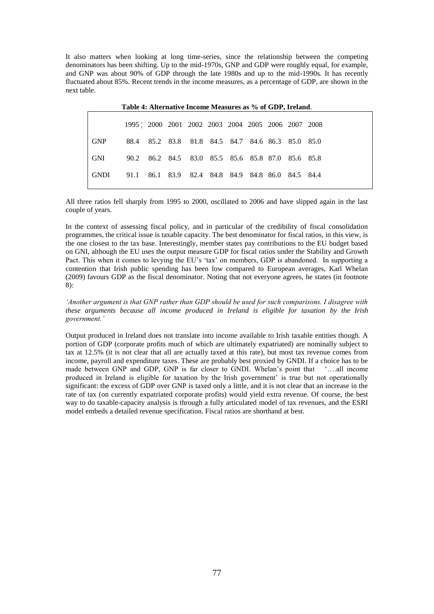It also matters when looking at long time-series, since the relationship between the competing denominators has been shifting. Up to the mid-1970s, GNP and GDP were roughly equal, for example, and GNP was about 90% of GDP through the late 1980s and up to the mid-1990s. It has recently fluctuated about 85%. Recent trends in the income measures, as a percentage of GDP, are shown in the next table.

|        | 1995   2000 2001 2002 2003 2004 2005 2006 2007 2008 |  |  |                                                   |  |  |  |  |  |
|--------|-----------------------------------------------------|--|--|---------------------------------------------------|--|--|--|--|--|
| GNP    |                                                     |  |  | 88.4 85.2 83.8 81.8 84.5 84.7 84.6 86.3 85.0 85.0 |  |  |  |  |  |
| - GNI  |                                                     |  |  | 90.2 86.2 84.5 83.0 85.5 85.6 85.8 87.0 85.6 85.8 |  |  |  |  |  |
| - GNDI | 91.1 86.1 83.9 82.4 84.8 84.9 84.8 86.0 84.5 84.4   |  |  |                                                   |  |  |  |  |  |
|        |                                                     |  |  |                                                   |  |  |  |  |  |

**Table 4: Alternative Income Measures as % of GDP, Ireland**.

All three ratios fell sharply from 1995 to 2000, oscillated to 2006 and have slipped again in the last couple of years.

In the context of assessing fiscal policy, and in particular of the credibility of fiscal consolidation programmes, the critical issue is taxable capacity. The best denominator for fiscal ratios, in this view, is the one closest to the tax base. Interestingly, member states pay contributions to the EU budget based on GNI, although the EU uses the output measure GDP for fiscal ratios under the Stability and Growth Pact. This when it comes to levying the EU"s "tax" on members, GDP is abandoned. In supporting a contention that Irish public spending has been low compared to European averages, Karl Whelan (2009) favours GDP as the fiscal denominator. Noting that not everyone agrees, he states (in footnote 8):

*'Another argument is that GNP rather than GDP should be used for such comparisons. I disagree with these arguments because all income produced in Ireland is eligible for taxation by the Irish government.'* 

Output produced in Ireland does not translate into income available to Irish taxable entities though. A portion of GDP (corporate profits much of which are ultimately expatriated) are nominally subject to tax at 12.5% (it is not clear that all are actually taxed at this rate), but most tax revenue comes from income, payroll and expenditure taxes. These are probably best proxied by GNDI. If a choice has to be made between GNP and GDP, GNP is far closer to GNDI. Whelan"s point that "….all income produced in Ireland is eligible for taxation by the Irish government' is true but not operationally significant: the excess of GDP over GNP is taxed only a little, and it is not clear that an increase in the rate of tax (on currently expatriated corporate profits) would yield extra revenue. Of course, the best way to do taxable-capacity analysis is through a fully articulated model of tax revenues, and the ESRI model embeds a detailed revenue specification. Fiscal ratios are shorthand at best.